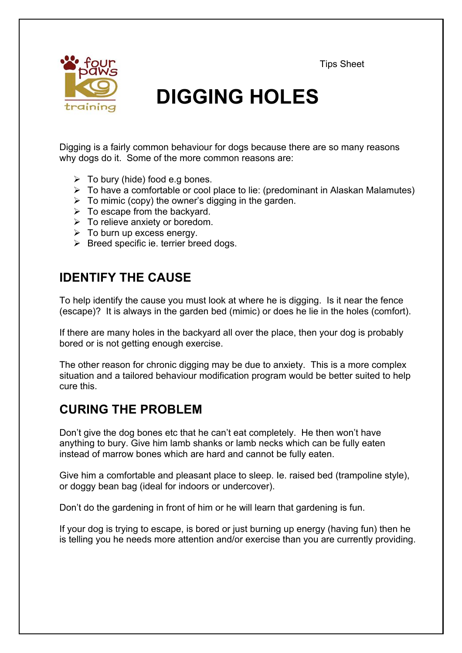Tips Sheet



# **DIGGING HOLES**

Digging is a fairly common behaviour for dogs because there are so many reasons why dogs do it. Some of the more common reasons are:

- $\triangleright$  To bury (hide) food e.g bones.
- $\triangleright$  To have a comfortable or cool place to lie: (predominant in Alaskan Malamutes)
- $\triangleright$  To mimic (copy) the owner's digging in the garden.
- $\triangleright$  To escape from the backyard.
- $\triangleright$  To relieve anxiety or boredom.
- $\triangleright$  To burn up excess energy.
- $\triangleright$  Breed specific ie. terrier breed dogs.

## **IDENTIFY THE CAUSE**

To help identify the cause you must look at where he is digging. Is it near the fence (escape)? It is always in the garden bed (mimic) or does he lie in the holes (comfort).

If there are many holes in the backyard all over the place, then your dog is probably bored or is not getting enough exercise.

The other reason for chronic digging may be due to anxiety. This is a more complex situation and a tailored behaviour modification program would be better suited to help cure this.

## **CURING THE PROBLEM**

Don't give the dog bones etc that he can't eat completely. He then won't have anything to bury. Give him lamb shanks or lamb necks which can be fully eaten instead of marrow bones which are hard and cannot be fully eaten.

Give him a comfortable and pleasant place to sleep. Ie. raised bed (trampoline style), or doggy bean bag (ideal for indoors or undercover).

Don't do the gardening in front of him or he will learn that gardening is fun.

If your dog is trying to escape, is bored or just burning up energy (having fun) then he is telling you he needs more attention and/or exercise than you are currently providing.